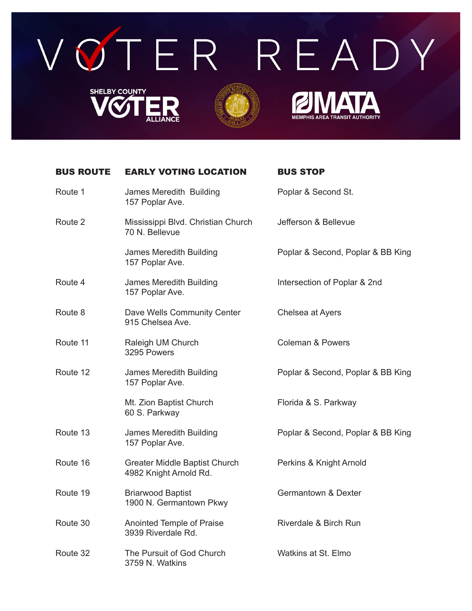

## BUS ROUTE EARLY VOTING LOCATION BUS STOP

| Route 1  | James Meredith Building<br>157 Poplar Ave.                     | Poplar & Second St.               |
|----------|----------------------------------------------------------------|-----------------------------------|
| Route 2  | Mississippi Blvd. Christian Church<br>70 N. Bellevue           | Jefferson & Bellevue              |
|          | James Meredith Building<br>157 Poplar Ave.                     | Poplar & Second, Poplar & BB King |
| Route 4  | James Meredith Building<br>157 Poplar Ave.                     | Intersection of Poplar & 2nd      |
| Route 8  | Dave Wells Community Center<br>915 Chelsea Ave.                | Chelsea at Ayers                  |
| Route 11 | Raleigh UM Church<br>3295 Powers                               | <b>Coleman &amp; Powers</b>       |
| Route 12 | James Meredith Building<br>157 Poplar Ave.                     | Poplar & Second, Poplar & BB King |
|          | Mt. Zion Baptist Church<br>60 S. Parkway                       | Florida & S. Parkway              |
| Route 13 | James Meredith Building<br>157 Poplar Ave.                     | Poplar & Second, Poplar & BB King |
| Route 16 | <b>Greater Middle Baptist Church</b><br>4982 Knight Arnold Rd. | Perkins & Knight Arnold           |
| Route 19 | <b>Briarwood Baptist</b><br>1900 N. Germantown Pkwy            | Germantown & Dexter               |
| Route 30 | Anointed Temple of Praise<br>3939 Riverdale Rd.                | Riverdale & Birch Run             |

Route 32 The Pursuit of God Church Watkins at St. Elmo 3759 N. Watkins